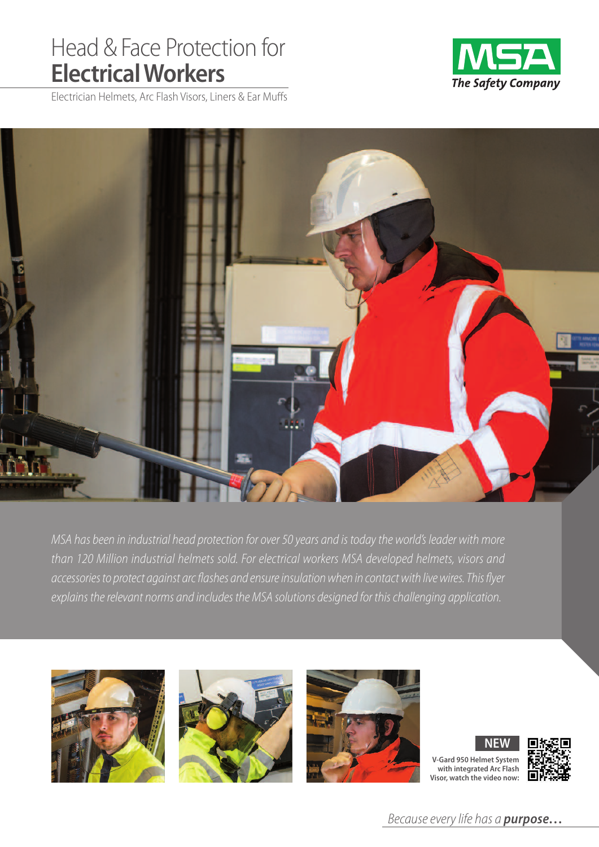# Head & Face Protection for **ElectricalWorkers**



Electrician Helmets, Arc Flash Visors, Liners & Ear Muffs



MSA has been in industrial head protection for over 50 years and is today the world's leader with more than 120 Million industrial helmets sold. For electrical workers MSA developed helmets, visors and accessories to protect against arc flashes and ensure insulation when in contact with live wires. This flyer explains the relevant norms and includes the MSA solutions designed for this challenging application.







**V-Gard 950 Helmet System with integrated Arc Flash Visor, watch the video now: NEW**



Because every life has a **purpose...**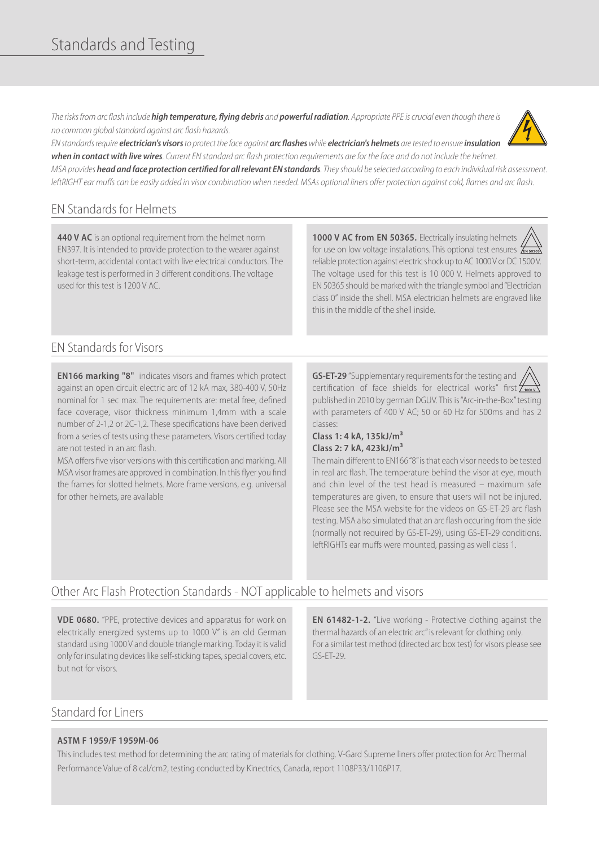# Standards and Testing

Therisksfrom arc flash include **high temperature, flying debris** and **powerfulradiation**. Appropriate PPE iscrucialeven though thereis no common global standard against arc flash hazards.



ENstandardsrequire **electrician's visors**to protect theface against **arc flashes**while **electrician's helmets** aretested to ensure**insulation** when in contact with live wires. Current EN standard arc flash protection requirements are for the face and do not include the helmet.

MSA provides **head and face protection certified for allrelevant ENstandards**. Theyshould beselected according to each individual risk assessment. leftRIGHT ear muffs can be easily added in visor combination when needed. MSAs optional liners offer protection against cold, flames and arc flash.

## EN Standards for Helmets

**440 V AC** is an optional requirement from the helmet norm EN397. It is intended to provide protection to the wearer against short-term, accidental contact with live electrical conductors. The leakage test is performed in 3 different conditions. The voltage used for this test is 1200 V AC.

**1000 V AC from EN 50365.** Electrically insulating helmets for use on low voltage installations. This optional test ensures  $\frac{1}{\epsilon_{\text{N}}s}$ reliable protection against electric shock up to AC 1000 V or DC 1500 V. The voltage used for this test is 10 000 V. Helmets approved to EN 50365 should be markedwith the triangle symbol and"Electrician class 0" inside the shell. MSA electrician helmets are engraved like this in the middle of the shell inside.

## EN Standards for Visors

**EN166 marking "8"** indicates visors and frames which protect against an open circuit electric arc of 12 kA max, 380-400 V, 50Hz nominal for 1 sec max. The requirements are: metal free, defined face coverage, visor thickness minimum 1,4mm with a scale number of 2-1,2 or 2C-1,2. These specifications have been derived from a series of tests using these parameters. Visors certified today are not tested in an arc flash.

MSA offers five visor versions with this certification and marking. All MSA visor frames are approved in combination. In this flyer you find the frames for slotted helmets. More frame versions, e.g. universal for other helmets, are available

**GS-ET-29** "Supplementary requirements for the testing and certification of face shields for electrical works" first  $\frac{\sum_{i=1}^{n} x_i}{n}$ published in 2010 by german DGUV. This is"Arc-in-the-Box"testing with parameters of 400 V AC; 50 or 60 Hz for 500ms and has 2 classes:

#### **Class 1: 4 kA, 135kJ/m³ Class 2: 7 kA, 423kJ/m³**

The main different to EN166"8" is that each visor needs to be tested in real arc flash. The temperature behind the visor at eye, mouth and chin level of the test head is measured – maximum safe temperatures are given, to ensure that users will not be injured. Please see the MSA website for the videos on GS-ET-29 arc flash testing. MSA also simulated that an arc flash occuring from the side (normally not required by GS-ET-29), using GS-ET-29 conditions. leftRIGHTs ear muffs were mounted, passing as well class 1.

# Other Arc Flash Protection Standards - NOT applicable to helmets and visors

**VDE 0680.** "PPE, protective devices and apparatus for work on electrically energized systems up to 1000 V" is an old German standard using 1000 V and double triangle marking. Today it is valid only for insulating devices like self-sticking tapes, special covers, etc. but not for visors.

**EN 61482-1-2.** "Live working - Protective clothing against the thermal hazards of an electric arc" is relevant for clothing only. For a similar test method (directed arc box test) for visors please see GS-ET-29.

### Standard for Liners

#### **ASTM F 1959/F 1959M-06**

This includes test method for determining the arc rating of materials for clothing. V-Gard Supreme liners offer protection for Arc Thermal Performance Value of 8 cal/cm2, testing conducted by Kinectrics, Canada, report 1108P33/1106P17.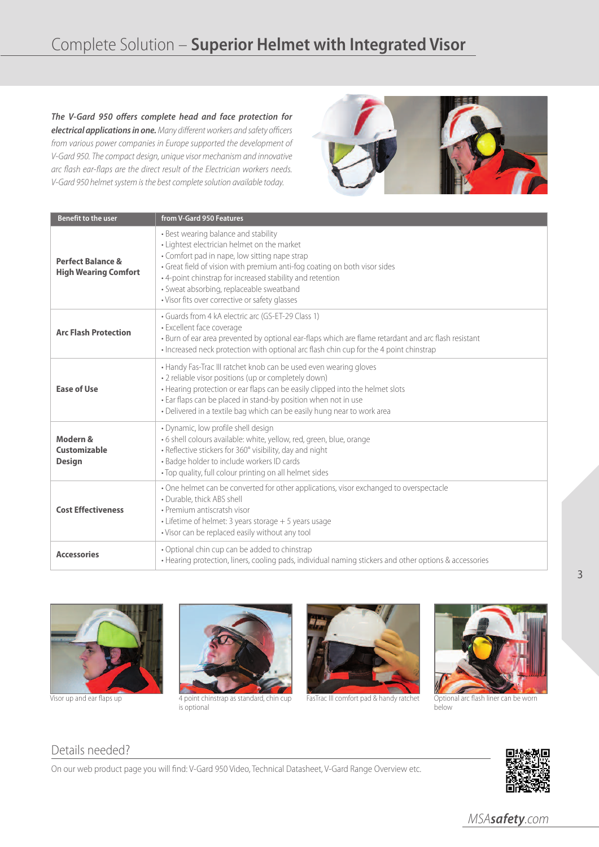**The V-Gard 950 offers complete head and face protection for electrical applications in one.** Many different workers and safety officers from various power companies in Europe supported the development of V-Gard 950. The compact design, unique visor mechanism and innovative arc flash ear-flaps are the direct result of the Electrician workers needs. V-Gard 950 helmet system is the best complete solution available today.



| <b>Benefit to the user</b>                                  | from V-Gard 950 Features                                                                                                                                                                                                                                                                                                                                                     |
|-------------------------------------------------------------|------------------------------------------------------------------------------------------------------------------------------------------------------------------------------------------------------------------------------------------------------------------------------------------------------------------------------------------------------------------------------|
| <b>Perfect Balance &amp;</b><br><b>High Wearing Comfort</b> | • Best wearing balance and stability<br>• Lightest electrician helmet on the market<br>• Comfort pad in nape, low sitting nape strap<br>· Great field of vision with premium anti-fog coating on both visor sides<br>• 4-point chinstrap for increased stability and retention<br>· Sweat absorbing, replaceable sweatband<br>· Visor fits over corrective or safety glasses |
| <b>Arc Flash Protection</b>                                 | • Guards from 4 kA electric arc (GS-ET-29 Class 1)<br>· Excellent face coverage<br>· Burn of ear area prevented by optional ear-flaps which are flame retardant and arc flash resistant<br>• Increased neck protection with optional arc flash chin cup for the 4 point chinstrap                                                                                            |
| <b>Ease of Use</b>                                          | • Handy Fas-Trac III ratchet knob can be used even wearing gloves<br>• 2 reliable visor positions (up or completely down)<br>• Hearing protection or ear flaps can be easily clipped into the helmet slots<br>· Ear flaps can be placed in stand-by position when not in use<br>• Delivered in a textile bag which can be easily hung near to work area                      |
| Modern &<br>Customizable<br><b>Design</b>                   | · Dynamic, low profile shell design<br>· 6 shell colours available: white, yellow, red, green, blue, orange<br>• Reflective stickers for 360° visibility, day and night<br>• Badge holder to include workers ID cards<br>• Top quality, full colour printing on all helmet sides                                                                                             |
| <b>Cost Effectiveness</b>                                   | • One helmet can be converted for other applications, visor exchanged to overspectacle<br>• Durable, thick ABS shell<br>· Premium antiscratsh visor<br>• Lifetime of helmet: 3 years storage + 5 years usage<br>• Visor can be replaced easily without any tool                                                                                                              |
| <b>Accessories</b>                                          | • Optional chin cup can be added to chinstrap<br>• Hearing protection, liners, cooling pads, individual naming stickers and other options & accessories                                                                                                                                                                                                                      |





Visor up and ear flaps up 4 point chinstrap as standard, chin cup is optional



FasTrac III comfort pad & handy ratchet



Optional arc flash liner can be worn<br>below

### Details needed?

On our web product page you will find: V-Gard 950 Video, Technical Datasheet, V-Gard Range Overview etc.



MSA**safety**.com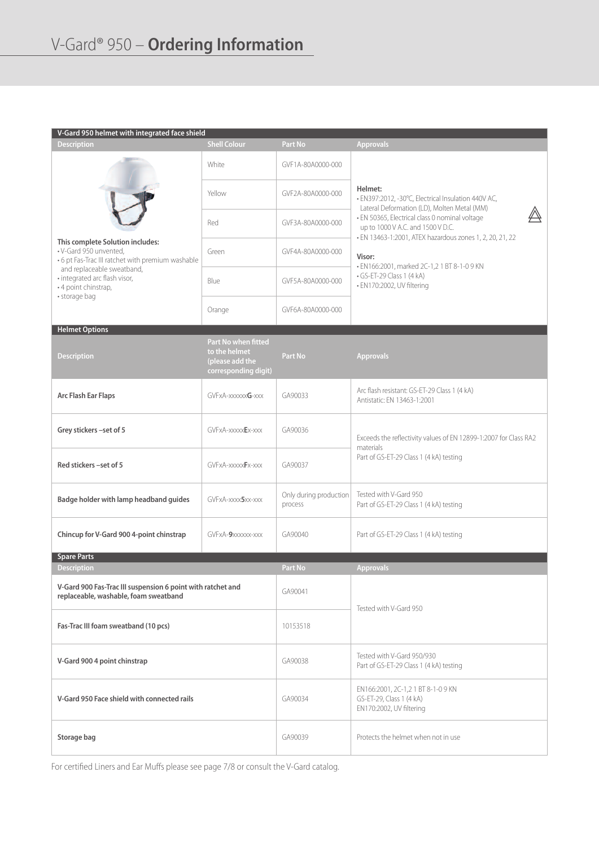| V-Gard 950 helmet with integrated face shield                                                                   |                                                                                 |                                   |                                                                                                                                                                                                      |  |
|-----------------------------------------------------------------------------------------------------------------|---------------------------------------------------------------------------------|-----------------------------------|------------------------------------------------------------------------------------------------------------------------------------------------------------------------------------------------------|--|
| <b>Description</b>                                                                                              | <b>Shell Colour</b>                                                             | Part No                           | <b>Approvals</b>                                                                                                                                                                                     |  |
|                                                                                                                 | White                                                                           | GVF1A-80A0000-000                 |                                                                                                                                                                                                      |  |
|                                                                                                                 | Yellow                                                                          | GVF2A-80A0000-000                 | Helmet:<br>• EN397:2012, -30°C, Electrical Insulation 440V AC,<br>Lateral Deformation (LD), Molten Metal (MM)<br>· EN 50365, Electrical class 0 nominal voltage<br>up to 1000 V A.C. and 1500 V D.C. |  |
|                                                                                                                 | Red                                                                             | GVF3A-80A0000-000                 |                                                                                                                                                                                                      |  |
| This complete Solution includes:<br>· V-Gard 950 unvented,<br>• 6 pt Fas-Trac III ratchet with premium washable | Green                                                                           | GVF4A-80A0000-000                 | • EN 13463-1:2001, ATEX hazardous zones 1, 2, 20, 21, 22<br>Visor:                                                                                                                                   |  |
| and replaceable sweatband,<br>• integrated arc flash visor,<br>• 4 point chinstrap,                             | Blue                                                                            | GVF5A-80A0000-000                 | · EN166:2001, marked 2C-1,2 1 BT 8-1-0 9 KN<br>$\cdot$ GS-ET-29 Class 1 (4 kA)<br>• EN170:2002, UV filtering                                                                                         |  |
| · storage bag                                                                                                   | Orange                                                                          | GVF6A-80A0000-000                 |                                                                                                                                                                                                      |  |
| <b>Helmet Options</b>                                                                                           |                                                                                 |                                   |                                                                                                                                                                                                      |  |
| <b>Description</b>                                                                                              | Part No when fitted<br>to the helmet<br>(please add the<br>corresponding digit) | Part No                           | <b>Approvals</b>                                                                                                                                                                                     |  |
| <b>Arc Flash Ear Flaps</b>                                                                                      | GVFxA-xxxxxxG-xxx                                                               | GA90033                           | Arc flash resistant: GS-ET-29 Class 1 (4 kA)<br>Antistatic: EN 13463-1:2001                                                                                                                          |  |
| Grey stickers -set of 5                                                                                         | GVFxA-xxxxxEx-xxx                                                               | GA90036                           | Exceeds the reflectivity values of EN 12899-1:2007 for Class RA2<br>materials<br>Part of GS-ET-29 Class 1 (4 kA) testing                                                                             |  |
| Red stickers -set of 5                                                                                          | GVFxA-xxxxxFx-xxx                                                               | GA90037                           |                                                                                                                                                                                                      |  |
| Badge holder with lamp headband guides                                                                          | GVFxA-xxxx5xx-xxx                                                               | Only during production<br>process | Tested with V-Gard 950<br>Part of GS-ET-29 Class 1 (4 kA) testing                                                                                                                                    |  |
| Chincup for V-Gard 900 4-point chinstrap                                                                        | GVFxA-9xxxxxx-xxx                                                               | GA90040                           | Part of GS-ET-29 Class 1 (4 kA) testing                                                                                                                                                              |  |
| <b>Spare Parts</b>                                                                                              |                                                                                 |                                   |                                                                                                                                                                                                      |  |
| <b>Description</b>                                                                                              |                                                                                 | Part No                           | <b>Approvals</b>                                                                                                                                                                                     |  |
| V-Gard 900 Fas-Trac III suspension 6 point with ratchet and<br>replaceable, washable, foam sweatband            |                                                                                 | GA90041                           | Tested with V-Gard 950                                                                                                                                                                               |  |
| Fas-Trac III foam sweatband (10 pcs)                                                                            |                                                                                 | 10153518                          |                                                                                                                                                                                                      |  |
| V-Gard 900 4 point chinstrap                                                                                    |                                                                                 | GA90038                           | Tested with V-Gard 950/930<br>Part of GS-ET-29 Class 1 (4 kA) testing                                                                                                                                |  |
| V-Gard 950 Face shield with connected rails                                                                     |                                                                                 | GA90034                           | EN166:2001, 2C-1,2 1 BT 8-1-0 9 KN<br>GS-ET-29, Class 1 (4 kA)<br>EN170:2002, UV filtering                                                                                                           |  |
| Storage bag                                                                                                     |                                                                                 | GA90039                           | Protects the helmet when not in use                                                                                                                                                                  |  |

For certified Liners and Ear Muffs please see page 7/8 or consult the V-Gard catalog.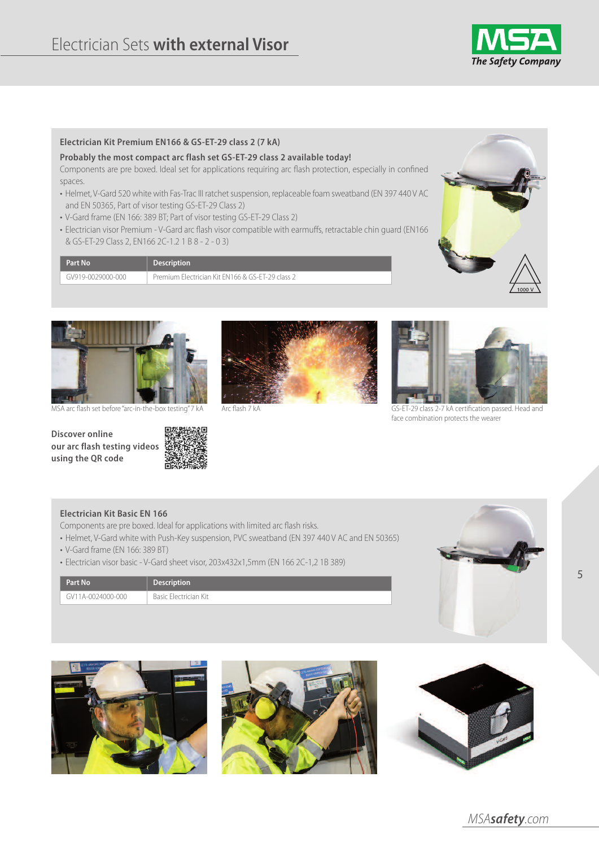

#### **Electrician Kit Premium EN166 & GS-ET-29 class 2 (7 kA)**

#### **Probably the most compact arc flash set GS-ET-29 class 2 available today!**

Components are pre boxed. Ideal set for applications requiring arc flash protection, especially in confined spaces.

- Helmet, V-Gard 520 white with Fas-Trac III ratchet suspension, replaceable foam sweatband (EN 397 440 V AC and EN 50365, Part of visor testing GS-ET-29 Class 2)
- V-Gard frame (EN 166: 389 BT; Part of visor testing GS-ET-29 Class 2)
- Electrician visor Premium V-Gard arc flash visor compatible with earmuffs, retractable chin guard (EN166 & GS-ET-29 Class 2, EN166 2C-1.2 1 B 8 - 2 - 0 3)

| Part No           | <b>Description</b>                               |
|-------------------|--------------------------------------------------|
| GV919-0029000-000 | Premium Electrician Kit EN166 & GS-ET-29 class 2 |





**Discover online our arc flash testing videos using the QR code**





Arc flash 7 kA



MSA arc flash set before "arc-in-the-box testing" 7 kA Arc flash 7 kA CS-ET-29 class 2-7 kA certification passed. Head and face combination protects the wearer

#### **Electrician Kit Basic EN 166**

- Components are pre boxed. Ideal for applications with limited arc flash risks.
- Helmet, V-Gard white with Push-Key suspension, PVC sweatband (EN 397 440 V AC and EN 50365)
- V-Gard frame (EN 166: 389 BT)

**Part No Description** GV11A-0024000-000 Basic Electrician Kit

• Electrician visor basic- V-Gard sheet visor, 203x432x1,5mm (EN 166 2C-1,2 1B 389)



5







MSA**safety**.com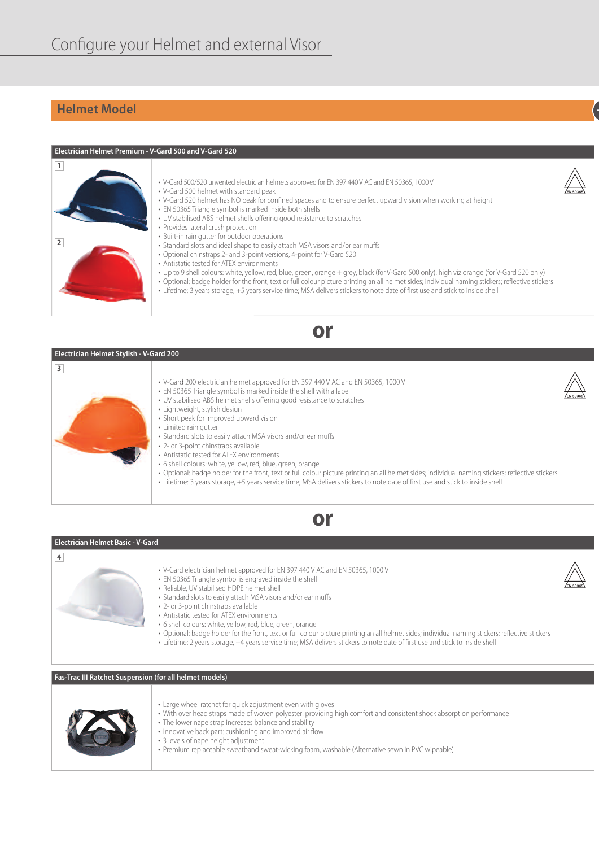# **Helmet Model +**



| <b>Electrician Helmet Stylish - V-Gard 200</b> |                                                                                                                                                                                                                                                                                                                                                                                                                                                                                                                                                                                                                                                                                                                                                                                                                                                   |  |  |
|------------------------------------------------|---------------------------------------------------------------------------------------------------------------------------------------------------------------------------------------------------------------------------------------------------------------------------------------------------------------------------------------------------------------------------------------------------------------------------------------------------------------------------------------------------------------------------------------------------------------------------------------------------------------------------------------------------------------------------------------------------------------------------------------------------------------------------------------------------------------------------------------------------|--|--|
| 3                                              | • V-Gard 200 electrician helmet approved for EN 397 440 V AC and EN 50365, 1000 V<br>• EN 50365 Triangle symbol is marked inside the shell with a label<br>• UV stabilised ABS helmet shells offering good resistance to scratches<br>· Lightweight, stylish design<br>• Short peak for improved upward vision<br>• Limited rain gutter<br>• Standard slots to easily attach MSA visors and/or ear muffs<br>• 2- or 3-point chinstraps available<br>• Antistatic tested for ATEX environments<br>• 6 shell colours: white, yellow, red, blue, green, orange<br>· Optional: badge holder for the front, text or full colour picture printing an all helmet sides; individual naming stickers; reflective stickers<br>• Lifetime: 3 years storage, +5 years service time; MSA delivers stickers to note date of first use and stick to inside shell |  |  |



**or**

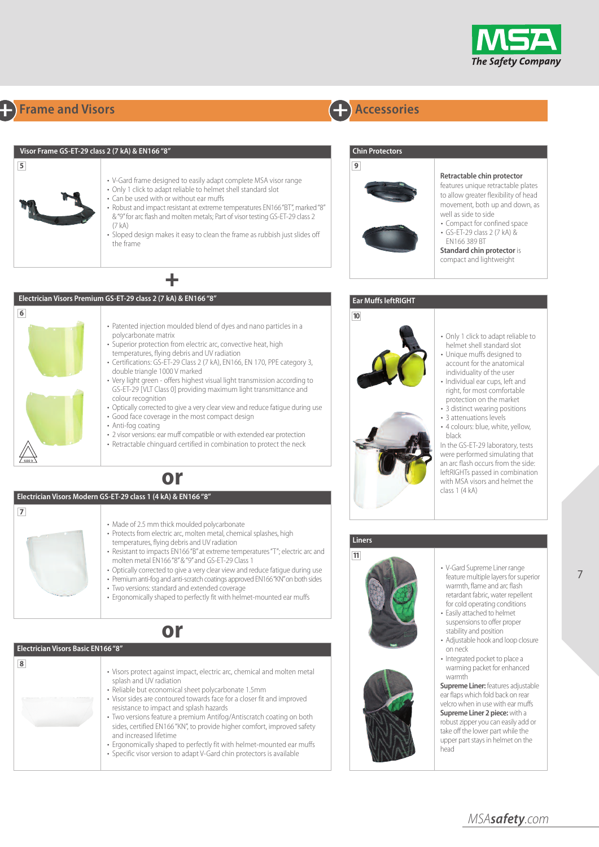

# **+ Frame and Visors + Accessories**

|                                               | Visor Frame GS-ET-29 class 2 (7 kA) & EN166 "8"                                                                                                                                                                                                                                                                                                                                                                                                                                                                                                                                                                                                                                                                                                                                                                                                                                        | <b>Chin Protectors</b>                                                                                                                                                                                                                                                                                                                                                                                                                                                                                                                                                          |
|-----------------------------------------------|----------------------------------------------------------------------------------------------------------------------------------------------------------------------------------------------------------------------------------------------------------------------------------------------------------------------------------------------------------------------------------------------------------------------------------------------------------------------------------------------------------------------------------------------------------------------------------------------------------------------------------------------------------------------------------------------------------------------------------------------------------------------------------------------------------------------------------------------------------------------------------------|---------------------------------------------------------------------------------------------------------------------------------------------------------------------------------------------------------------------------------------------------------------------------------------------------------------------------------------------------------------------------------------------------------------------------------------------------------------------------------------------------------------------------------------------------------------------------------|
| $\overline{\mathbf{5}}$                       | • V-Gard frame designed to easily adapt complete MSA visor range<br>• Only 1 click to adapt reliable to helmet shell standard slot<br>• Can be used with or without ear muffs<br>• Robust and impact resistant at extreme temperatures EN166"BT", marked "8"<br>& "9" for arc flash and molten metals; Part of visor testing GS-ET-29 class 2<br>(7 kA)<br>· Sloped design makes it easy to clean the frame as rubbish just slides off<br>the frame                                                                                                                                                                                                                                                                                                                                                                                                                                    | 9<br>Retractable chin protector<br>features unique retractable plates<br>to allow greater flexibility of head<br>movement, both up and down, as<br>well as side to side<br>• Compact for confined space<br>• GS-ET-29 class 2 (7 kA) &<br>FN166 389 BT<br><b>Standard chin protector is</b><br>compact and lightweight                                                                                                                                                                                                                                                          |
|                                               |                                                                                                                                                                                                                                                                                                                                                                                                                                                                                                                                                                                                                                                                                                                                                                                                                                                                                        |                                                                                                                                                                                                                                                                                                                                                                                                                                                                                                                                                                                 |
|                                               | Electrician Visors Premium GS-ET-29 class 2 (7 kA) & EN166 "8"                                                                                                                                                                                                                                                                                                                                                                                                                                                                                                                                                                                                                                                                                                                                                                                                                         | <b>Ear Muffs leftRIGHT</b>                                                                                                                                                                                                                                                                                                                                                                                                                                                                                                                                                      |
| 6<br>$\overline{7}$                           | • Patented injection moulded blend of dyes and nano particles in a<br>polycarbonate matrix<br>• Superior protection from electric arc, convective heat, high<br>temperatures, flying debris and UV radiation<br>• Certifications: GS-ET-29 Class 2 (7 kA), EN166, EN 170, PPE category 3,<br>double triangle 1000 V marked<br>• Very light green - offers highest visual light transmission according to<br>GS-ET-29 [VLT Class 0] providing maximum light transmittance and<br>colour recognition<br>• Optically corrected to give a very clear view and reduce fatigue during use<br>• Good face coverage in the most compact design<br>• Anti-fog coating<br>• 2 visor versions: ear muff compatible or with extended ear protection<br>• Retractable chinguard certified in combination to protect the neck<br>or<br>Electrician Visors Modern GS-ET-29 class 1 (4 kA) & EN166 "8" | 10<br>• Only 1 click to adapt reliable to<br>helmet shell standard slot<br>· Unique muffs designed to<br>account for the anatomical<br>individuality of the user<br>· Individual ear cups, left and<br>right, for most comfortable<br>protection on the market<br>• 3 distinct wearing positions<br>• 3 attenuations levels<br>· 4 colours: blue, white, yellow,<br>black<br>In the GS-ET-29 laboratory, tests<br>were performed simulating that<br>an arc flash occurs from the side:<br>leftRIGHTs passed in combination<br>with MSA visors and helmet the<br>class $1(4 kA)$ |
|                                               | • Made of 2.5 mm thick moulded polycarbonate<br>• Protects from electric arc, molten metal, chemical splashes, high<br>temperatures, flying debris and UV radiation<br>• Resistant to impacts EN166"B" at extreme temperatures "T"; electric arc and<br>molten metal EN166"8"&"9" and GS-ET-29 Class 1<br>• Optically corrected to give a very clear view and reduce fatigue during use<br>• Premium anti-fog and anti-scratch coatings approved EN166"KN" on both sides<br>• Two versions: standard and extended coverage<br>• Ergonomically shaped to perfectly fit with helmet-mounted ear muffs                                                                                                                                                                                                                                                                                    | <b>Liners</b><br>11<br>• V-Gard Supreme Liner range<br>feature multiple layers for superior<br>warmth, flame and arc flash<br>retardant fabric, water repellent<br>for cold operating conditions<br>• Easily attached to helmet<br>suspensions to offer proper                                                                                                                                                                                                                                                                                                                  |
|                                               | or                                                                                                                                                                                                                                                                                                                                                                                                                                                                                                                                                                                                                                                                                                                                                                                                                                                                                     | stability and position<br>• Adjustable hook and loop closure                                                                                                                                                                                                                                                                                                                                                                                                                                                                                                                    |
| Electrician Visors Basic EN166 "8"<br>$\bf 8$ | · Visors protect against impact, electric arc, chemical and molten metal<br>splash and UV radiation<br>· Reliable but economical sheet polycarbonate 1.5mm                                                                                                                                                                                                                                                                                                                                                                                                                                                                                                                                                                                                                                                                                                                             | on neck<br>• Integrated pocket to place a<br>warming packet for enhanced<br>warmth<br><b>Supreme Liner: features adjustable</b><br>ear flaps which fold back on rear                                                                                                                                                                                                                                                                                                                                                                                                            |

- Reliable but economical sheet polycarbonate 1.5mm • Visor sides are contoured towards face for a closer fit and improved
	- resistance to impact and splash hazards • Two versions feature a premium Antifog/Antiscratch coating on both sides, certified EN166 "KN", to provide higher comfort, improved safety
	- and increased lifetime • Ergonomically shaped to perfectly fit with helmet-mounted ear muffs
	- Specific visor version to adapt V-Gard chin protectors is available

MSA**safety**.com

velcro when in use with ear muffs **Supreme Liner 2 piece:** with a robust zipper you can easily add or take off the lower partwhile the upper part stays in helmet on the

head

7